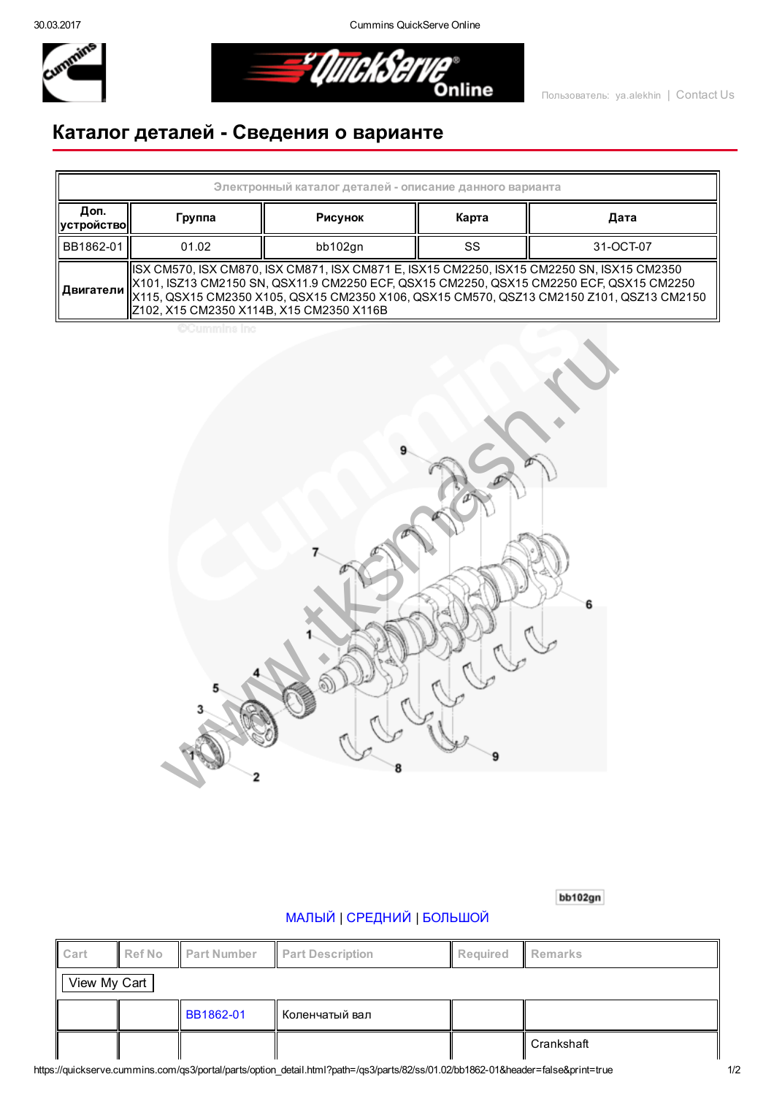30.03.2017 Cummins QuickServe Online



*EQuickServe* 

## Каталог деталей Сведения о варианте

| Электронный каталог деталей - описание данного варианта |                                                                                                                                                                                                                                                                                                                                    |         |       |           |  |  |  |  |
|---------------------------------------------------------|------------------------------------------------------------------------------------------------------------------------------------------------------------------------------------------------------------------------------------------------------------------------------------------------------------------------------------|---------|-------|-----------|--|--|--|--|
| Доп.<br>  устройство                                    | Группа                                                                                                                                                                                                                                                                                                                             | Рисунок | Карта | Дата      |  |  |  |  |
| BB1862-01                                               | 01.02                                                                                                                                                                                                                                                                                                                              | bb102gn | SS    | 31-OCT-07 |  |  |  |  |
| Двигатели                                               | ISX CM570, ISX CM870, ISX CM871, ISX CM871 E, ISX15 CM2250, ISX15 CM2250 SN, ISX15 CM2350<br>  X101, ISZ13 CM2150 SN, QSX11.9 CM2250 ECF, QSX15 CM2250, QSX15 CM2250 ECF, QSX15 CM2250<br>  X115, QSX15 CM2350 X105, QSX15 CM2350 X106, QSX15 CM570, QSZ13 CM2150 Z101, QSZ13 CM2150<br>  Z102, X15 CM2350 X114B, X15 CM2350 X116B |         |       |           |  |  |  |  |

**CCummins Inc** 



bb102gn

## [МАЛЫЙ](javascript:swap_img() | [СРЕДНИЙ](javascript:swap_img() | [БОЛЬШОЙ](javascript:swap_img()

| Cart         | Ref No | Part Number | <b>Part Description</b> | <b>Required</b> | Remarks    |  |  |
|--------------|--------|-------------|-------------------------|-----------------|------------|--|--|
| View My Cart |        |             |                         |                 |            |  |  |
|              |        | BB1862-01   | Коленчатый вал          |                 |            |  |  |
|              |        |             |                         |                 | Crankshaft |  |  |